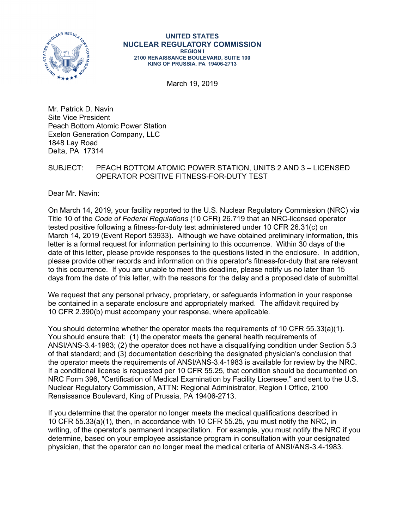

#### **UNITED STATES NUCLEAR REGULATORY COMMISSION REGION I 2100 RENAISSANCE BOULEVARD, SUITE 100 KING OF PRUSSIA, PA 19406-2713**

March 19, 2019

Mr. Patrick D. Navin Site Vice President Peach Bottom Atomic Power Station Exelon Generation Company, LLC 1848 Lay Road Delta, PA 17314

## SUBJECT: PEACH BOTTOM ATOMIC POWER STATION, UNITS 2 AND 3 – LICENSED OPERATOR POSITIVE FITNESS-FOR-DUTY TEST

Dear Mr. Navin:

On March 14, 2019, your facility reported to the U.S. Nuclear Regulatory Commission (NRC) via Title 10 of the *Code of Federal Regulations* (10 CFR) 26.719 that an NRC-licensed operator tested positive following a fitness-for-duty test administered under 10 CFR 26.31(c) on March 14, 2019 (Event Report 53933). Although we have obtained preliminary information, this letter is a formal request for information pertaining to this occurrence. Within 30 days of the date of this letter, please provide responses to the questions listed in the enclosure. In addition, please provide other records and information on this operator's fitness-for-duty that are relevant to this occurrence. If you are unable to meet this deadline, please notify us no later than 15 days from the date of this letter, with the reasons for the delay and a proposed date of submittal.

We request that any personal privacy, proprietary, or safeguards information in your response be contained in a separate enclosure and appropriately marked. The affidavit required by 10 CFR 2.390(b) must accompany your response, where applicable.

You should determine whether the operator meets the requirements of 10 CFR 55.33(a)(1). You should ensure that: (1) the operator meets the general health requirements of ANSI/ANS-3.4-1983; (2) the operator does not have a disqualifying condition under Section 5.3 of that standard; and (3) documentation describing the designated physician's conclusion that the operator meets the requirements of ANSI/ANS-3.4-1983 is available for review by the NRC. If a conditional license is requested per 10 CFR 55.25, that condition should be documented on NRC Form 396, "Certification of Medical Examination by Facility Licensee," and sent to the U.S. Nuclear Regulatory Commission, ATTN: Regional Administrator, Region I Office, 2100 Renaissance Boulevard, King of Prussia, PA 19406-2713.

If you determine that the operator no longer meets the medical qualifications described in 10 CFR 55.33(a)(1), then, in accordance with 10 CFR 55.25, you must notify the NRC, in writing, of the operator's permanent incapacitation. For example, you must notify the NRC if you determine, based on your employee assistance program in consultation with your designated physician, that the operator can no longer meet the medical criteria of ANSI/ANS-3.4-1983.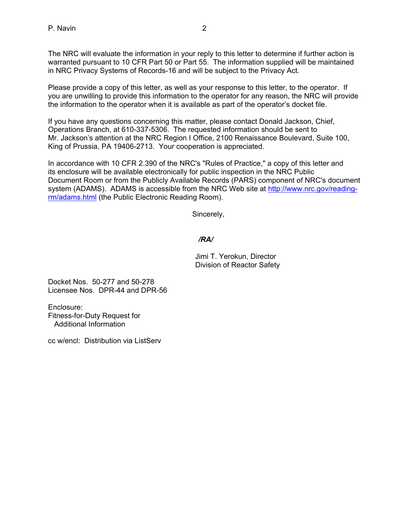The NRC will evaluate the information in your reply to this letter to determine if further action is warranted pursuant to 10 CFR Part 50 or Part 55. The information supplied will be maintained in NRC Privacy Systems of Records-16 and will be subject to the Privacy Act.

Please provide a copy of this letter, as well as your response to this letter, to the operator. If you are unwilling to provide this information to the operator for any reason, the NRC will provide the information to the operator when it is available as part of the operator's docket file.

If you have any questions concerning this matter, please contact Donald Jackson, Chief, Operations Branch, at 610-337-5306. The requested information should be sent to Mr. Jackson's attention at the NRC Region I Office, 2100 Renaissance Boulevard, Suite 100, King of Prussia, PA 19406-2713. Your cooperation is appreciated.

In accordance with 10 CFR 2.390 of the NRC's "Rules of Practice," a copy of this letter and its enclosure will be available electronically for public inspection in the NRC Public Document Room or from the Publicly Available Records (PARS) component of NRC's document system (ADAMS). ADAMS is accessible from the NRC Web site at http://www.nrc.gov/readingrm/adams.html (the Public Electronic Reading Room).

Sincerely,

# */RA/*

Jimi T. Yerokun, Director Division of Reactor Safety

Docket Nos. 50-277 and 50-278 Licensee Nos. DPR-44 and DPR-56

Enclosure: Fitness-for-Duty Request for Additional Information

cc w/encl: Distribution via ListServ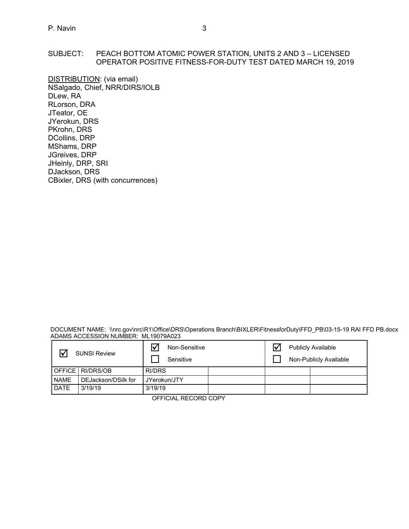## SUBJECT: PEACH BOTTOM ATOMIC POWER STATION, UNITS 2 AND 3 – LICENSED OPERATOR POSITIVE FITNESS-FOR-DUTY TEST DATED MARCH 19, 2019

DISTRIBUTION: (via email) NSalgado, Chief, NRR/DIRS/IOLB DLew, RA RLorson, DRA JTeator, OE JYerokun, DRS PKrohn, DRS DCollins, DRP MShams, DRP JGreives, DRP JHeinly, DRP, SRI DJackson, DRS CBixler, DRS (with concurrences)

DOCUMENT NAME: \\nrc.gov\nrc\R1\Office\DRS\Operations Branch\BIXLER\FitnessforDuty\FFD\_PB\03-15-19 RAI FFD PB.docx ADAMS ACCESSION NUMBER: ML19079A023

| ⊺√          | <b>SUNSI Review</b> | Ⅳ<br>Non-Sensitive<br>Sensitive |  | <b>Publicly Available</b><br>Non-Publicly Available |
|-------------|---------------------|---------------------------------|--|-----------------------------------------------------|
|             | OFFICE RI/DRS/OB    | RI/DRS                          |  |                                                     |
| <b>NAME</b> | DEJackson/DSilk for | JYerokun/JTY                    |  |                                                     |
| <b>DATE</b> | 3/19/19             | 3/19/19                         |  |                                                     |

OFFICIAL RECORD COPY